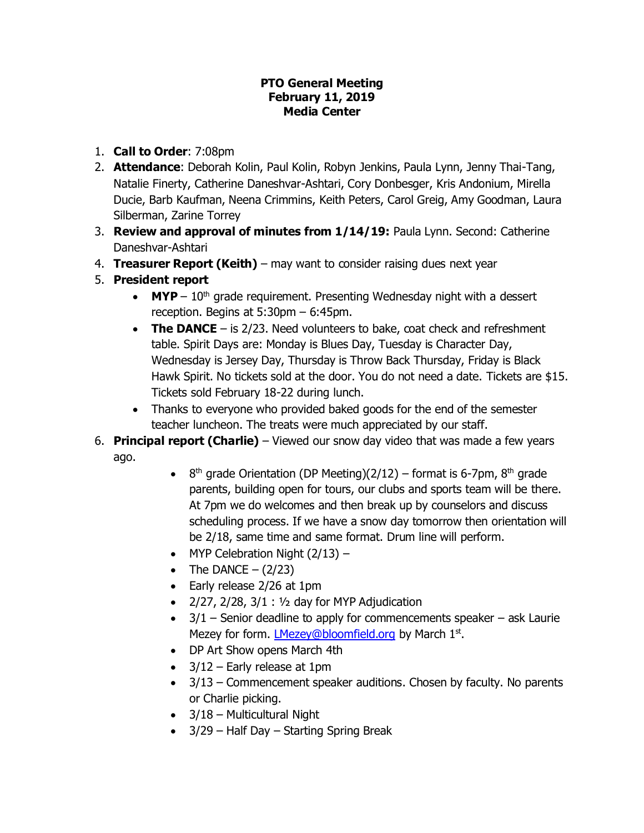#### **PTO General Meeting February 11, 2019 Media Center**

- 1. **Call to Order**: 7:08pm
- 2. **Attendance**: Deborah Kolin, Paul Kolin, Robyn Jenkins, Paula Lynn, Jenny Thai-Tang, Natalie Finerty, Catherine Daneshvar-Ashtari, Cory Donbesger, Kris Andonium, Mirella Ducie, Barb Kaufman, Neena Crimmins, Keith Peters, Carol Greig, Amy Goodman, Laura Silberman, Zarine Torrey
- 3. **Review and approval of minutes from 1/14/19:** Paula Lynn. Second: Catherine Daneshvar-Ashtari
- 4. **Treasurer Report (Keith)**  may want to consider raising dues next year
- 5. **President report**
	- $\bullet$  **MYP**  $10<sup>th</sup>$  grade requirement. Presenting Wednesday night with a dessert reception. Begins at 5:30pm – 6:45pm.
	- **The DANCE**  is 2/23. Need volunteers to bake, coat check and refreshment table. Spirit Days are: Monday is Blues Day, Tuesday is Character Day, Wednesday is Jersey Day, Thursday is Throw Back Thursday, Friday is Black Hawk Spirit. No tickets sold at the door. You do not need a date. Tickets are \$15. Tickets sold February 18-22 during lunch.
	- Thanks to everyone who provided baked goods for the end of the semester teacher luncheon. The treats were much appreciated by our staff.
- 6. **Principal report (Charlie)**  Viewed our snow day video that was made a few years ago.
	- 8<sup>th</sup> grade Orientation (DP Meeting)(2/12) format is 6-7pm, 8<sup>th</sup> grade parents, building open for tours, our clubs and sports team will be there. At 7pm we do welcomes and then break up by counselors and discuss scheduling process. If we have a snow day tomorrow then orientation will be 2/18, same time and same format. Drum line will perform.
	- $\bullet$  MYP Celebration Night (2/13) –
	- The DANCE  $-$  (2/23)
	- Early release 2/26 at 1pm
	- $\bullet$  2/27, 2/28, 3/1 : 1/2 day for MYP Adjudication
	- $\bullet$  3/1 Senior deadline to apply for commencements speaker ask Laurie Mezey for form. *LMezey@bloomfield.org* by March 1<sup>st</sup>.
	- DP Art Show opens March 4th
	- $\bullet$  3/12 Early release at 1pm
	- 3/13 Commencement speaker auditions. Chosen by faculty. No parents or Charlie picking.
	- $\bullet$  3/18 Multicultural Night
	- $\bullet$  3/29 Half Day Starting Spring Break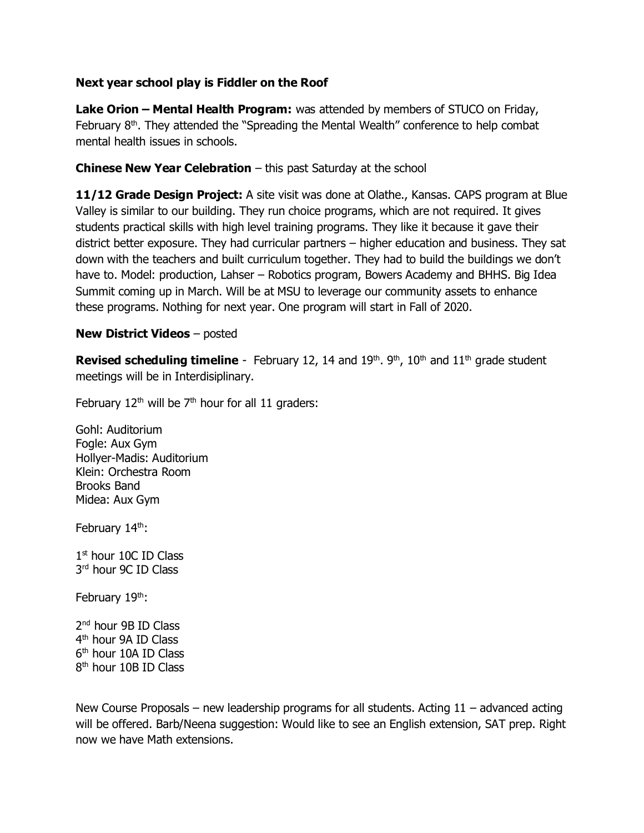### **Next year school play is Fiddler on the Roof**

**Lake Orion – Mental Health Program:** was attended by members of STUCO on Friday, February  $8<sup>th</sup>$ . They attended the "Spreading the Mental Wealth" conference to help combat mental health issues in schools.

### **Chinese New Year Celebration** – this past Saturday at the school

**11/12 Grade Design Project:** A site visit was done at Olathe., Kansas. CAPS program at Blue Valley is similar to our building. They run choice programs, which are not required. It gives students practical skills with high level training programs. They like it because it gave their district better exposure. They had curricular partners – higher education and business. They sat down with the teachers and built curriculum together. They had to build the buildings we don't have to. Model: production, Lahser – Robotics program, Bowers Academy and BHHS. Big Idea Summit coming up in March. Will be at MSU to leverage our community assets to enhance these programs. Nothing for next year. One program will start in Fall of 2020.

### **New District Videos** – posted

**Revised scheduling timeline** - February 12, 14 and 19<sup>th</sup>, 9<sup>th</sup>, 10<sup>th</sup> and 11<sup>th</sup> grade student meetings will be in Interdisiplinary.

February  $12<sup>th</sup>$  will be  $7<sup>th</sup>$  hour for all 11 graders:

Gohl: Auditorium Fogle: Aux Gym Hollyer-Madis: Auditorium Klein: Orchestra Room Brooks Band Midea: Aux Gym

February 14<sup>th</sup>:

1st hour 10C ID Class 3 rd hour 9C ID Class

February  $19<sup>th</sup>$ :

2<sup>nd</sup> hour 9B ID Class 4 th hour 9A ID Class 6 th hour 10A ID Class 8<sup>th</sup> hour 10B ID Class

New Course Proposals – new leadership programs for all students. Acting  $11$  – advanced acting will be offered. Barb/Neena suggestion: Would like to see an English extension, SAT prep. Right now we have Math extensions.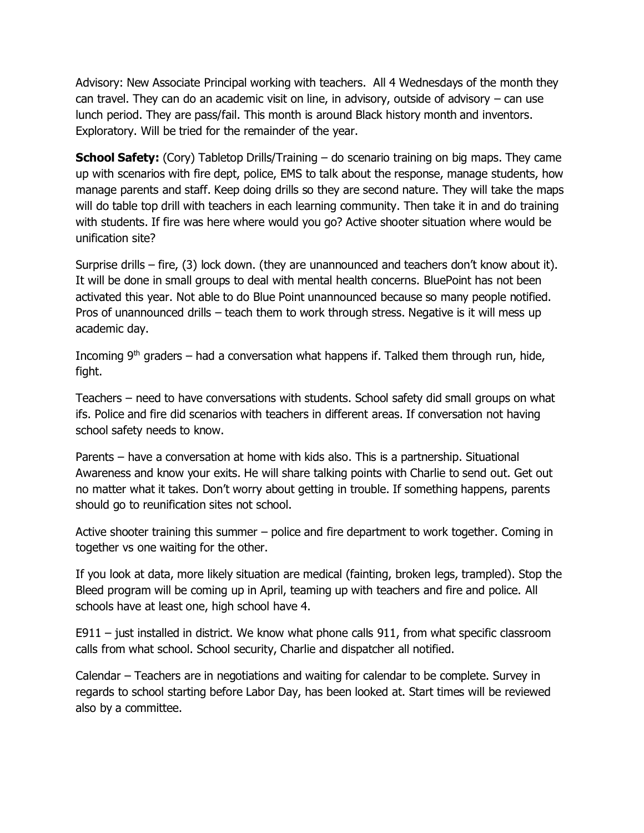Advisory: New Associate Principal working with teachers. All 4 Wednesdays of the month they can travel. They can do an academic visit on line, in advisory, outside of advisory  $-$  can use lunch period. They are pass/fail. This month is around Black history month and inventors. Exploratory. Will be tried for the remainder of the year.

**School Safety:** (Cory) Tabletop Drills/Training – do scenario training on big maps. They came up with scenarios with fire dept, police, EMS to talk about the response, manage students, how manage parents and staff. Keep doing drills so they are second nature. They will take the maps will do table top drill with teachers in each learning community. Then take it in and do training with students. If fire was here where would you go? Active shooter situation where would be unification site?

Surprise drills – fire, (3) lock down. (they are unannounced and teachers don't know about it). It will be done in small groups to deal with mental health concerns. BluePoint has not been activated this year. Not able to do Blue Point unannounced because so many people notified. Pros of unannounced drills – teach them to work through stress. Negative is it will mess up academic day.

Incoming  $9<sup>th</sup>$  graders – had a conversation what happens if. Talked them through run, hide, fight.

Teachers – need to have conversations with students. School safety did small groups on what ifs. Police and fire did scenarios with teachers in different areas. If conversation not having school safety needs to know.

Parents – have a conversation at home with kids also. This is a partnership. Situational Awareness and know your exits. He will share talking points with Charlie to send out. Get out no matter what it takes. Don't worry about getting in trouble. If something happens, parents should go to reunification sites not school.

Active shooter training this summer – police and fire department to work together. Coming in together vs one waiting for the other.

If you look at data, more likely situation are medical (fainting, broken legs, trampled). Stop the Bleed program will be coming up in April, teaming up with teachers and fire and police. All schools have at least one, high school have 4.

E911 – just installed in district. We know what phone calls 911, from what specific classroom calls from what school. School security, Charlie and dispatcher all notified.

Calendar – Teachers are in negotiations and waiting for calendar to be complete. Survey in regards to school starting before Labor Day, has been looked at. Start times will be reviewed also by a committee.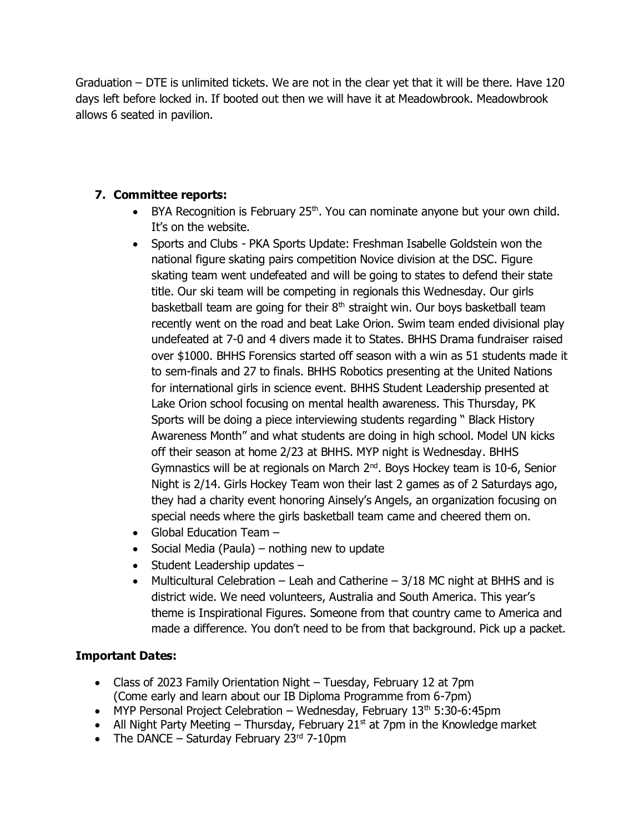Graduation – DTE is unlimited tickets. We are not in the clear yet that it will be there. Have 120 days left before locked in. If booted out then we will have it at Meadowbrook. Meadowbrook allows 6 seated in pavilion.

# **7. Committee reports:**

- BYA Recognition is February 25<sup>th</sup>. You can nominate anyone but your own child. It's on the website.
- Sports and Clubs PKA Sports Update: Freshman Isabelle Goldstein won the national figure skating pairs competition Novice division at the DSC. Figure skating team went undefeated and will be going to states to defend their state title. Our ski team will be competing in regionals this Wednesday. Our girls basketball team are going for their  $8<sup>th</sup>$  straight win. Our boys basketball team recently went on the road and beat Lake Orion. Swim team ended divisional play undefeated at 7-0 and 4 divers made it to States. BHHS Drama fundraiser raised over \$1000. BHHS Forensics started off season with a win as 51 students made it to sem-finals and 27 to finals. BHHS Robotics presenting at the United Nations for international girls in science event. BHHS Student Leadership presented at Lake Orion school focusing on mental health awareness. This Thursday, PK Sports will be doing a piece interviewing students regarding " Black History Awareness Month" and what students are doing in high school. Model UN kicks off their season at home 2/23 at BHHS. MYP night is Wednesday. BHHS Gymnastics will be at regionals on March  $2<sup>nd</sup>$ . Boys Hockey team is 10-6, Senior Night is 2/14. Girls Hockey Team won their last 2 games as of 2 Saturdays ago, they had a charity event honoring Ainsely's Angels, an organization focusing on special needs where the girls basketball team came and cheered them on.
- Global Education Team -
- $\bullet$  Social Media (Paula) nothing new to update
- $\bullet$  Student Leadership updates  $-$
- Multicultural Celebration Leah and Catherine  $-3/18$  MC night at BHHS and is district wide. We need volunteers, Australia and South America. This year's theme is Inspirational Figures. Someone from that country came to America and made a difference. You don't need to be from that background. Pick up a packet.

# **Important Dates:**

- Class of 2023 Family Orientation Night Tuesday, February 12 at 7pm (Come early and learn about our IB Diploma Programme from 6-7pm)
- MYP Personal Project Celebration Wednesday, February  $13<sup>th</sup> 5:30-6:45pm$
- All Night Party Meeting Thursday, February 21 $<sup>st</sup>$  at 7pm in the Knowledge market</sup>
- The DANCE Saturday February  $23<sup>rd</sup>$  7-10pm